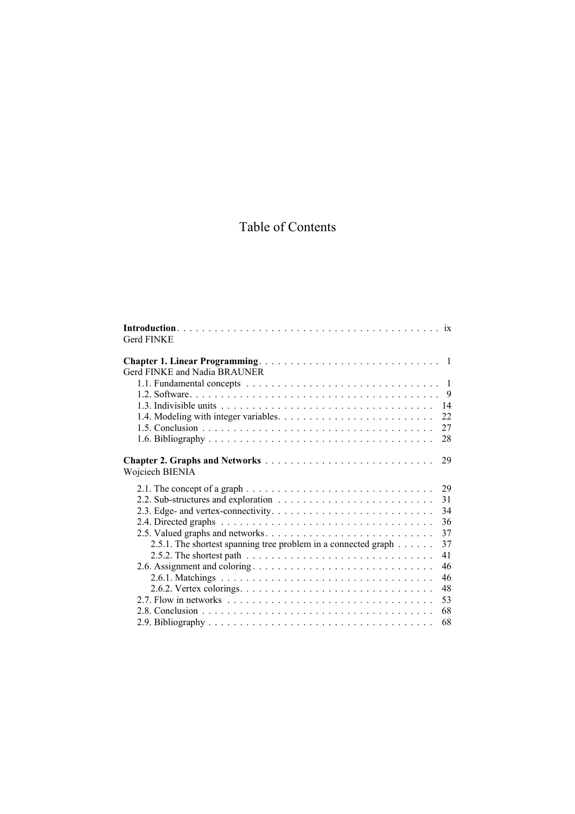## Table of Contents

| Gerd FINKE                                                                                                 |
|------------------------------------------------------------------------------------------------------------|
|                                                                                                            |
| Gerd FINKE and Nadia BRAUNER                                                                               |
| 1.1. Fundamental concepts $\ldots \ldots \ldots \ldots \ldots \ldots \ldots \ldots \ldots \ldots \ldots 1$ |
|                                                                                                            |
| 14                                                                                                         |
| 22                                                                                                         |
| 27                                                                                                         |
| 28                                                                                                         |
| 29<br>Wojciech BIENIA                                                                                      |
| 2.1. The concept of a graph $\ldots \ldots \ldots \ldots \ldots \ldots \ldots \ldots \ldots \ldots$<br>29  |
| 31                                                                                                         |
| 34                                                                                                         |
| 36                                                                                                         |
| 37                                                                                                         |
| 37<br>2.5.1. The shortest spanning tree problem in a connected graph                                       |
| 41                                                                                                         |
| 46                                                                                                         |
| 46                                                                                                         |
| 48                                                                                                         |
| 53                                                                                                         |
| 68                                                                                                         |
| 68                                                                                                         |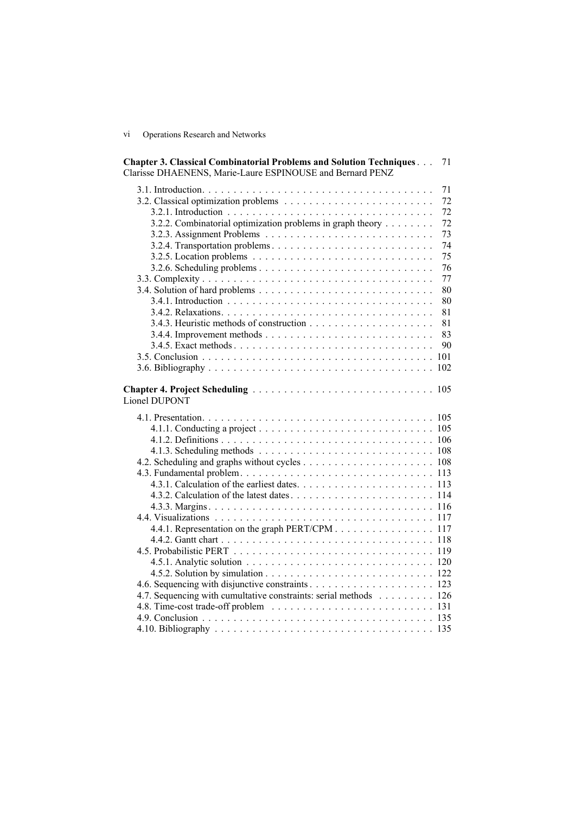vi Operations Research and Networks

| <b>Chapter 3. Classical Combinatorial Problems and Solution Techniques</b><br>71<br>Clarisse DHAENENS, Marie-Laure ESPINOUSE and Bernard PENZ |  |
|-----------------------------------------------------------------------------------------------------------------------------------------------|--|
| 71                                                                                                                                            |  |
| 72                                                                                                                                            |  |
| 72                                                                                                                                            |  |
| 3.2.2. Combinatorial optimization problems in graph theory<br>72                                                                              |  |
| 73                                                                                                                                            |  |
| 74                                                                                                                                            |  |
| 75                                                                                                                                            |  |
| 76                                                                                                                                            |  |
| 77                                                                                                                                            |  |
| 80                                                                                                                                            |  |
| 80                                                                                                                                            |  |
| 81                                                                                                                                            |  |
| 81                                                                                                                                            |  |
| 83                                                                                                                                            |  |
| 90                                                                                                                                            |  |
|                                                                                                                                               |  |
|                                                                                                                                               |  |
|                                                                                                                                               |  |
| Lionel DUPONT                                                                                                                                 |  |
|                                                                                                                                               |  |
|                                                                                                                                               |  |
|                                                                                                                                               |  |
|                                                                                                                                               |  |
|                                                                                                                                               |  |
|                                                                                                                                               |  |
|                                                                                                                                               |  |
|                                                                                                                                               |  |
|                                                                                                                                               |  |
|                                                                                                                                               |  |
| 4.4.1. Representation on the graph PERT/CPM 117                                                                                               |  |
|                                                                                                                                               |  |
|                                                                                                                                               |  |
|                                                                                                                                               |  |
|                                                                                                                                               |  |
|                                                                                                                                               |  |
|                                                                                                                                               |  |
| 4.7. Sequencing with cumultative constraints: serial methods 126                                                                              |  |
|                                                                                                                                               |  |
|                                                                                                                                               |  |
|                                                                                                                                               |  |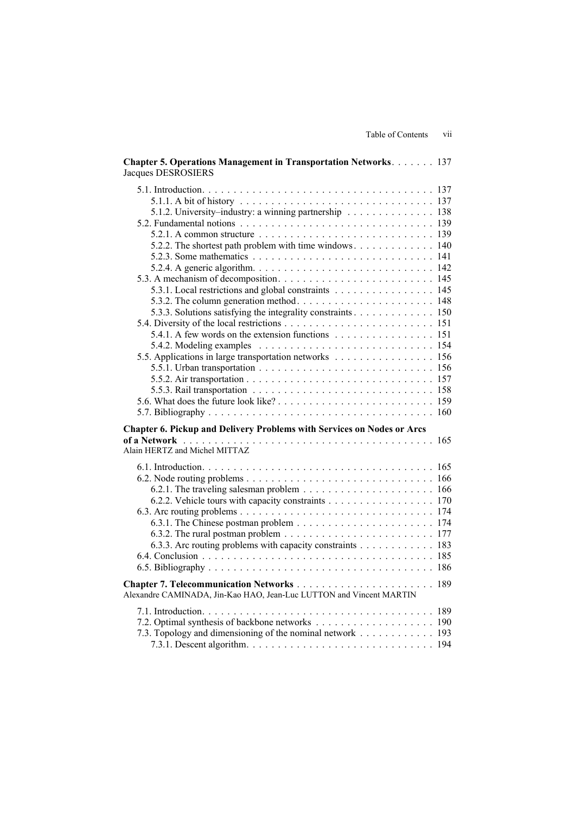| <b>Chapter 5. Operations Management in Transportation Networks 137</b><br><b>Jacques DESROSIERS</b>                                                                                                                                                                                                                                                                                                                                                              |  |
|------------------------------------------------------------------------------------------------------------------------------------------------------------------------------------------------------------------------------------------------------------------------------------------------------------------------------------------------------------------------------------------------------------------------------------------------------------------|--|
| 5.1.2. University–industry: a winning partnership 138<br>5.2.2. The shortest path problem with time windows 140<br>5.2.4. A generic algorithm. $\ldots \ldots \ldots \ldots \ldots \ldots \ldots \ldots \ldots \ldots 142$<br>5.3.1. Local restrictions and global constraints 145<br>5.3.3. Solutions satisfying the integrality constraints 150<br>5.4.1. A few words on the extension functions 151<br>5.5. Applications in large transportation networks 156 |  |
| Chapter 6. Pickup and Delivery Problems with Services on Nodes or Arcs<br>Alain HERTZ and Michel MITTAZ                                                                                                                                                                                                                                                                                                                                                          |  |
| 6.2.2. Vehicle tours with capacity constraints 170<br>6.3.2. The rural postman problem $\ldots \ldots \ldots \ldots \ldots \ldots \ldots \ldots \ldots 177$<br>6.3.3. Arc routing problems with capacity constraints 183                                                                                                                                                                                                                                         |  |
| Alexandre CAMINADA, Jin-Kao HAO, Jean-Luc LUTTON and Vincent MARTIN                                                                                                                                                                                                                                                                                                                                                                                              |  |
| 7.3. Topology and dimensioning of the nominal network 193                                                                                                                                                                                                                                                                                                                                                                                                        |  |